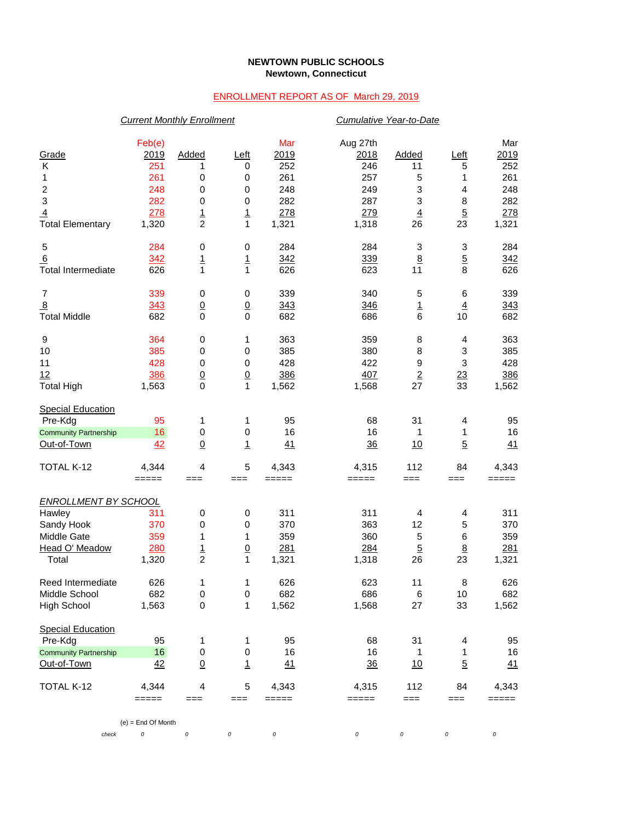## **NEWTOWN PUBLIC SCHOOLS Newtown, Connecticut**

## ENROLLMENT REPORT AS OF March 29, 2019

|                              | <b>Current Monthly Enrollment</b> |                 |                                   |                     |          | Cumulative Year-to-Date |                 |          |  |  |
|------------------------------|-----------------------------------|-----------------|-----------------------------------|---------------------|----------|-------------------------|-----------------|----------|--|--|
|                              | Feb(e)                            |                 |                                   | Mar                 | Aug 27th |                         |                 | Mar      |  |  |
| Grade                        | 2019                              | Added           | <u>Left</u>                       | 2019                | 2018     | Added                   | Left            | 2019     |  |  |
| Κ                            | 251                               | 1               | 0                                 | 252                 | 246      | 11                      | 5               | 252      |  |  |
| 1                            | 261                               | 0               | 0                                 | 261                 | 257      | 5                       | 1               | 261      |  |  |
| $\overline{\mathbf{c}}$      | 248                               | 0               | 0                                 | 248                 | 249      | 3                       | 4               | 248      |  |  |
| $\overline{3}$               | 282                               | 0               | $\pmb{0}$                         | 282                 | 287      | 3                       | 8               | 282      |  |  |
| $\overline{4}$               | 278                               |                 |                                   | 278                 | 279      | $\overline{4}$          | $\overline{5}$  | 278      |  |  |
| <b>Total Elementary</b>      | 1,320                             | $\frac{1}{2}$   | $\frac{1}{1}$                     | 1,321               | 1,318    | 26                      | 23              | 1,321    |  |  |
|                              |                                   |                 |                                   |                     |          |                         |                 |          |  |  |
| 5                            | 284                               | 0               | $\,0\,$                           | 284                 | 284      | 3                       | 3               | 284      |  |  |
| 6                            | 342                               | <u>1</u>        | $\overline{1}$                    | 342                 | 339      | $\underline{8}$         | $\overline{5}$  | 342      |  |  |
| <b>Total Intermediate</b>    | 626                               | 1               | $\mathbf{1}$                      | 626                 | 623      | 11                      | 8               | 626      |  |  |
| 7                            | 339                               | 0               | 0                                 | 339                 | 340      | 5                       | 6               | 339      |  |  |
| $\overline{8}$               | 343                               | $\overline{0}$  | $\overline{0}$                    | 343                 | 346      | $\overline{1}$          | $\overline{4}$  | 343      |  |  |
| <b>Total Middle</b>          | 682                               | $\mathbf 0$     | $\mathbf 0$                       | 682                 | 686      | 6                       | 10              | 682      |  |  |
| 9                            | 364                               | 0               | 1                                 | 363                 | 359      | 8                       | 4               | 363      |  |  |
| 10                           | 385                               | 0               | 0                                 | 385                 | 380      | 8                       | 3               | 385      |  |  |
| 11                           | 428                               | $\pmb{0}$       | $\pmb{0}$                         | 428                 | 422      | 9                       | 3               | 428      |  |  |
| 12                           | 386                               | $\underline{0}$ |                                   | 386                 | 407      | $\overline{2}$          | 23              | 386      |  |  |
| <b>Total High</b>            | 1,563                             | $\mathbf 0$     | $\underline{0}$<br>$\overline{1}$ |                     |          | 27                      | 33              |          |  |  |
|                              |                                   |                 |                                   | 1,562               | 1,568    |                         |                 | 1,562    |  |  |
| <b>Special Education</b>     |                                   |                 |                                   |                     |          |                         |                 |          |  |  |
| Pre-Kdg                      | 95                                | 1               | 1                                 | 95                  | 68       | 31                      | 4               | 95       |  |  |
| <b>Community Partnership</b> | 16                                | $\pmb{0}$       | 0                                 | 16                  | 16       | 1                       | 1               | 16       |  |  |
| Out-of-Town                  | 42                                | $\underline{0}$ | $\overline{1}$                    | 41                  | 36       | 10                      | $\overline{5}$  | 41       |  |  |
| TOTAL K-12                   | 4,344                             | 4               | 5                                 | 4,343               | 4,315    | 112                     | 84              | 4,343    |  |  |
|                              | $=====$                           | $==$            | $==$                              | $=====$             | =====    | ===                     | ===             | $=====$  |  |  |
| <b>ENROLLMENT BY SCHOOL</b>  |                                   |                 |                                   |                     |          |                         |                 |          |  |  |
| Hawley                       | 311                               | 0               | 0                                 | 311                 | 311      | 4                       | 4               | 311      |  |  |
| Sandy Hook                   | 370                               | 0               | 0                                 | 370                 | 363      | 12                      | 5               | 370      |  |  |
| Middle Gate                  | 359                               | 1               | 1                                 | 359                 | 360      | 5                       | $\,6$           | 359      |  |  |
| Head O' Meadow               |                                   |                 |                                   |                     |          |                         |                 |          |  |  |
|                              | 280                               | $\frac{1}{2}$   | $\underline{0}$                   | 281                 | 284      | $\overline{5}$          | $\underline{8}$ | 281      |  |  |
| Total                        | 1,320                             |                 | 1                                 | 1,321               | 1,318    | 26                      | 23              | 1,321    |  |  |
| Reed Intermediate            | 626                               | $\mathbf 1$     | 1                                 | 626                 | 623      | 11                      | 8               | 626      |  |  |
| Middle School                | 682                               | 0               | 0                                 | 682                 | 686      | 6                       | 10              | 682      |  |  |
| <b>High School</b>           | 1,563                             | $\pmb{0}$       | 1                                 | 1,562               | 1,568    | 27                      | 33              | 1,562    |  |  |
| <b>Special Education</b>     |                                   |                 |                                   |                     |          |                         |                 |          |  |  |
| Pre-Kdg                      | 95                                | 1               | 1                                 | 95                  | 68       | 31                      | 4               | 95       |  |  |
| <b>Community Partnership</b> | 16                                | 0               | $\,0\,$                           | 16                  | 16       | 1                       | 1               | 16       |  |  |
| Out-of-Town                  | 42                                | $\underline{0}$ | $\mathbf{1}$                      | 41                  | 36       | 10                      | $\overline{5}$  | 41       |  |  |
| TOTAL K-12                   | 4,344                             | 4               | 5                                 | 4,343               | 4,315    | 112                     | 84              | 4,343    |  |  |
|                              | $=====$                           | $==$            | ===                               | $=$ $=$ $=$ $=$ $=$ | =====    | ===                     | ===             | $=====$  |  |  |
|                              |                                   |                 |                                   |                     |          |                         |                 |          |  |  |
| check                        | $(e)$ = End Of Month<br>0         | 0               | 0                                 | 0                   | 0        | $\cal O$                | 0               | $\cal O$ |  |  |
|                              |                                   |                 |                                   |                     |          |                         |                 |          |  |  |